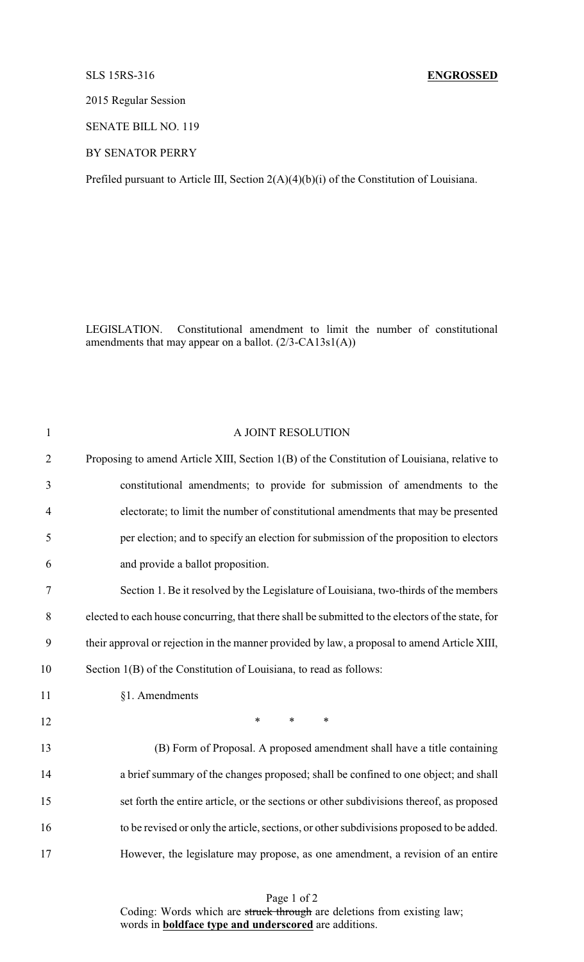## SLS 15RS-316 **ENGROSSED**

2015 Regular Session

SENATE BILL NO. 119

BY SENATOR PERRY

Prefiled pursuant to Article III, Section 2(A)(4)(b)(i) of the Constitution of Louisiana.

LEGISLATION. Constitutional amendment to limit the number of constitutional amendments that may appear on a ballot. (2/3-CA13s1(A))

| $\mathbf{1}$   | A JOINT RESOLUTION                                                                                |
|----------------|---------------------------------------------------------------------------------------------------|
| $\overline{2}$ | Proposing to amend Article XIII, Section 1(B) of the Constitution of Louisiana, relative to       |
| 3              | constitutional amendments; to provide for submission of amendments to the                         |
| $\overline{4}$ | electorate; to limit the number of constitutional amendments that may be presented                |
| 5              | per election; and to specify an election for submission of the proposition to electors            |
| 6              | and provide a ballot proposition.                                                                 |
| $\tau$         | Section 1. Be it resolved by the Legislature of Louisiana, two-thirds of the members              |
| 8              | elected to each house concurring, that there shall be submitted to the electors of the state, for |
| 9              | their approval or rejection in the manner provided by law, a proposal to amend Article XIII,      |
| 10             | Section 1(B) of the Constitution of Louisiana, to read as follows:                                |
| 11             | §1. Amendments                                                                                    |
| 12             | $\ast$<br>$\ast$<br>$\ast$                                                                        |
| 13             | (B) Form of Proposal. A proposed amendment shall have a title containing                          |
| 14             | a brief summary of the changes proposed; shall be confined to one object; and shall               |
| 15             | set forth the entire article, or the sections or other subdivisions thereof, as proposed          |
| 16             | to be revised or only the article, sections, or other subdivisions proposed to be added.          |
| 17             | However, the legislature may propose, as one amendment, a revision of an entire                   |
|                |                                                                                                   |

Page 1 of 2 Coding: Words which are struck through are deletions from existing law; words in **boldface type and underscored** are additions.